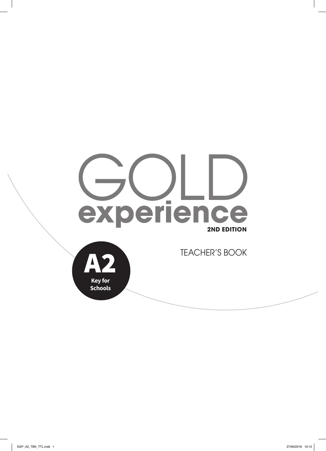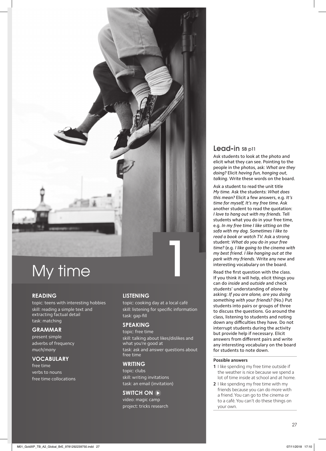

#### **READING**

topic: teens with interesting hobbies skill: reading a simple text and extracting factual detail task: matching

#### **GRAMMAR**

present simple adverbs of frequency *much*/*many*

#### **VOCABULARY**

free time verbs to nouns free time collocations

#### **LISTENING**

topic: cooking day at a local café skill: listening for specific information task: gap-fill

#### **SPEAKING**

topic: free time skill: talking about likes/dislikes and what you're good at task: ask and answer questions about free time

### **WRITING**

topic: clubs skill: writing invitations task: an email (invitation)

#### **SWITCH ON**

video: magic camp project: tricks research

### Lead-in SB p11

Ask students to look at the photo and elicit what they can see. Pointing to the people in the photos, ask: *What are they doing?* Elicit *having fun*, *hanging out*, *talking*. Write these words on the board.

Ask a student to read the unit title *My time.* Ask the students: *What does this mean?* Elicit a few answers, e.g*. It's time for myself*, *It's my free time*. Ask another student to read the quotation: *I love to hang out with my friends.* Tell students what you do in your free time, e.g. *In my free time I like sitting on the sofa with my dog. Sometimes I like to read a book or watch TV*. Ask a strong student: *What do you do in your free time?* (e.g. *I like going to the cinema with my best friend. I like hanging out at the park with my friends*. Write any new and interesting vocabulary on the board.

Read the first question with the class. If you think it will help, elicit things you can do *inside* and *outside* and check students' understanding of *alone* by asking: *If you are alone, are you doing something with your friends?* (No.) Put students into pairs or groups of three to discuss the questions. Go around the class, listening to students and noting down any difficulties they have. Do not interrupt students during the activity but provide help if necessary. Elicit answers from different pairs and write any interesting vocabulary on the board for students to note down.

#### **Possible answers**

- **1** I like spending my free time outside if the weather is nice because we spend a lot of time inside at school and at home.
- **2** I like spending my free time with my friends because you can do more with a friend. You can go to the cinema or to a café. You can't do these things on your own.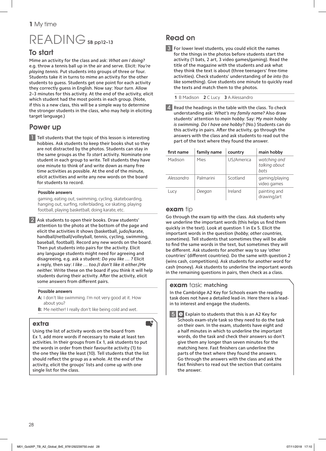# READING SB pp12-13

## To start

Mime an activity for the class and ask: *What am I doing?* e.g. throw a tennis ball up in the air and serve. Elicit: *You're playing tennis.* Put students into groups of three or four. Students take it in turns to mime an activity for the other students to guess. Students get one point for each activity they correctly guess in English. Now say: *Your turn.* Allow 2–3 minutes for this activity. At the end of the activity, elicit which student had the most points in each group. (Note, if this is a new class, this will be a simple way to determine the stronger students in the class, who may help in eliciting target language.)

# Power up

**1** Tell students that the topic of this lesson is interesting hobbies. Ask students to keep their books shut so they are not distracted by the photos. Students can stay in the same groups as the *To start* activity. Nominate one student in each group to write. Tell students they have one minute to think of and write down as many free time activities as possible. At the end of the minute, elicit activities and write any new words on the board for students to record.

#### **Possible answers**

gaming, eating out, swimming, cycling, skateboarding, hanging out, surfing, rollerblading, ice skating, playing football, playing basketball, doing karate, etc.

2 Ask students to open their books. Draw students' attention to the photo at the bottom of the page and elicit the activities it shows (basketball, judo/karate, handball/netball/volleyball, tennis, cycling, swimming, baseball, football). Record any new words on the board. Then put students into pairs for the activity. Elicit any language students might need for agreeing and disagreeing, e.g. ask a student: *Do you like … ?* Elicit a reply, then say: *I like … too.*/*I don't like it either.*/*Me neither.* Write these on the board if you think it will help students during their activity. After the activity, elicit some answers from different pairs.

#### **Possible answers**

- **A:** I don't like swimming. I'm not very good at it. How about you?
- **B:** Me neither! I really don't like being cold and wet.

## **extra**

Using the list of activity words on the board from Ex 1, add more words if necessary to make at least ten activities. In their groups from Ex 1, ask students to put the words in order from their favourite activity (1) to the one they like the least (10). Tell students that the list should reflect the group as a whole. At the end of the activity, elicit the groups' lists and come up with one single list for the class.

# Read on

3 For lower level students, you could elicit the names for the things in the photos before students start the activity (1 bats, 2 art, 3 video games/gaming). Read the title of the magazine with the students and ask what they think the text is about (three teenagers' free-time activities). Check students' understanding of *be into* (to like something). Give students one minute to quickly read the texts and match them to the photos.

**1** B Madison **2** C Lucy **3** A Alessandro

Read the headings in the table with the class. To check understanding ask: *What's my family name?* Also draw students' attention to *main hobby*. Say*: My main hobby is swimming. Do I have one hobby?* (No.) Students can do this activity in pairs. After the activity, go through the answers with the class and ask students to read out the part of the text where they found the answer.

| first name | family name | country    | main hobby                            |
|------------|-------------|------------|---------------------------------------|
| Madison    | Mies        | US/America | watching and<br>talking about<br>bats |
| Alessandro | Palmarini   | Scotland   | gaming/playing<br>video games         |
| Lucy       | Deegan      | Ireland    | painting and<br>drawing/art           |

## **exam** tip

**ext** 

Go through the exam tip with the class. Ask students why we underline the important words (this helps us find them quickly in the text). Look at question 1 in Ex 5. Elicit the important words in the question (*hobby*, *other countries*, *sometimes*). Tell students that sometimes they will be able to find the same words in the text, but sometimes they will be different. Ask students for another way to say 'other countries' (different countries). Do the same with question 2 (wins cash, competitions). Ask students for another word for cash (money). Ask students to underline the important words in the remaining questions in pairs, then check as a class.

### **exam** task: **matching**

In the Cambridge A2 Key for Schools exam the reading task does not have a detailed lead-in. Here there is a leadin to interest and engage the students.

 $\boxed{5}$   $\boxed{\text{e}}$  Explain to students that this is an A2 Key for Schools exam-style task so they need to do the task on their own. In the exam, students have eight and a half minutes in which to underline the important words, do the task and check their answers so don't give them any longer than seven minutes for the matching here. Fast finishers can underline the parts of the text where they found the answers. Go through the answers with the class and ask the fast finishers to read out the section that contains the answer.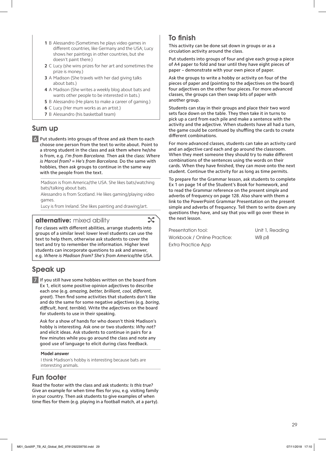- **1** B Alessandro (Sometimes he plays video games in different countries, like Germany and the USA; Lucy shows her paintings in other countries, but she doesn't paint there.)
- **2** C Lucy (she wins prizes for her art and sometimes the prize is money.)
- **3** A Madison (She travels with her dad giving talks about bats.)
- **4** A Madison (She writes a weekly blog about bats and wants other people to be interested in bats.)
- **5** B Alessandro (He plans to make a career of gaming.)
- **6** C Lucy (Her mum works as an artist.)
- **7** B Alessandro (his basketball team)

## Sum up

6 Put students into groups of three and ask them to each choose one person from the text to write about. Point to a strong student in the class and ask them where he/she is from, e.g. *I'm from Barcelona.* Then ask the class: *Where is Marcel from?* = *He's from Barcelona.* Do the same with hobbies, then ask groups to continue in the same way with the people from the text.

Madison is from America/the USA. She likes bats/watching bats/talking about bats.

Alessandro is from Scotland. He likes gaming/playing video games.

Lucy is from Ireland. She likes painting and drawing/art.

**alternative:** mixed ability

For classes with different abilities, arrange students into groups of a similar level: lower level students can use the text to help them, otherwise ask students to cover the text and try to remember the information. Higher level students can incorporate questions to ask and answer, e.g. *Where is Madison from? She's from America/the USA*.

# Speak up

7 If you still have some hobbies written on the board from Ex 1, elicit some positive opinion adjectives to describe each one (e.g. *amazing*, *better*, *brilliant*, *cool*, *different*, *great*). Then find some activities that students don't like and do the same for some negative adjectives (e.g. *boring*, *difficult*, *hard*, *terrible*). Write the adjectives on the board for students to use in their speaking.

Ask for a show of hands for who doesn't think Madison's hobby is interesting. Ask one or two students: *Why not?* and elicit ideas. Ask students to continue in pairs for a few minutes while you go around the class and note any good use of language to elicit during class feedback.

#### **Model answer**

I think Madison's hobby is interesting because bats are interesting animals.

## Fun footer

Read the footer with the class and ask students: *Is this true?* Give an example for when time flies for you, e.g. visiting family in your country. Then ask students to give examples of when time flies for them (e.g. playing in a football match, at a party).

## To finish

This activity can be done sat down in groups or as a circulation activity around the class.

Put students into groups of four and give each group a piece of A4 paper to fold and tear until they have eight pieces of paper – demonstrate with your own piece of paper.

Ask the groups to write a hobby or activity on four of the pieces of paper and (pointing to the adjectives on the board) four adjectives on the other four pieces. For more advanced classes, the groups can then swap bits of paper with another group.

Students can stay in their groups and place their two word sets face down on the table. They then take it in turns to pick up a card from each pile and make a sentence with the activity and the adjective. When students have all had a turn, the game could be continued by shuffling the cards to create different combinations.

For more advanced classes, students can take an activity card and an adjective card each and go around the classroom. When they meet someone they should try to make different combinations of the sentences using the words on their cards. When they have finished, they can move onto the next student. Continue the activity for as long as time permits.

To prepare for the Grammar lesson, ask students to complete Ex 1 on page 14 of the Student's Book for homework, and to read the Grammar reference on the present simple and adverbs of frequency on page 128. Also share with them a link to the PowerPoint Grammar Presentation on the present simple and adverbs of frequency. Tell them to write down any questions they have, and say that you will go over these in the next lesson.

Presentation tool: Unit 1, Reading Workbook / Online Practice: WB p8 Extra Practice App

 $\mathcal{L}$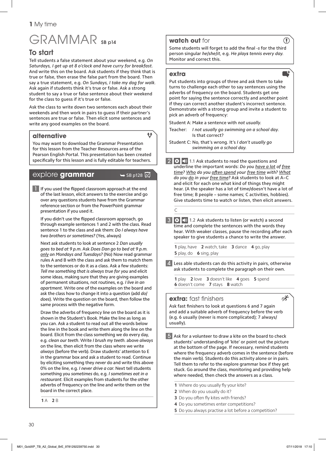# GRAMMAR SB p14

## To start

Tell students a false statement about your weekend, e.g. *On Saturdays, I get up at 8 o'clock and have curry for breakfast.*  And write this on the board. Ask students if they think that is true or false, then erase the false part from the board. Then say a true statement, e.g. *On Sundays, I take my dog for walk.*  Ask again if students think it's true or false. Ask a strong student to say a true or false sentence about their weekend for the class to guess if it's true or false.

Ask the class to write down two sentences each about their weekends and then work in pairs to guess if their partner's sentences are true or false. Then elicit some sentences and write any good examples on the board.

### **alternative**

 $\ddot{\mathbf{t}}$ 

You may want to download the Grammar Presentation for this lesson from the Teacher Resources area of the Pearson English Portal. This presentation has been created specifically for this lesson and is fully editable for teachers.

## explore **grammar** → SB p128 A

 $\blacksquare$  If you used the flipped classroom approach at the end of the last lesson, elicit answers to the exercise and go over any questions students have from the Grammar reference section or from the PowerPoint grammar presentation if you used it.

If you didn't use the flipped classroom approach, go through example sentences 1 and 2 with the class. Read sentence 1 to the class and ask them: *Do I always have two brothers or sometimes?* (Yes, always)

 Next ask students to look at sentence 2 *Dan usually goes to bed at 9 p.m*. Ask *Does Dan go to bed at 9 p.m. only on Mondays and Tuesdays?* (No) Now read grammar rules A and B with the class and ask them to match them to the sentences or do it as a class. Ask a few students: *Tell me something that is always true for you* and elicit some ideas, making sure that they are giving examples of permanent situations, not routines, e.g. *I live in an apartment.* Write one of the examples on the board and ask the class how to change it into a question (add *do*/ *does*). Write the question on the board, then follow the same process with the negative form.

 Draw the adverbs of frequency line on the board as it is shown in the Student's Book. Make the line as long as you can. Ask a student to read out all the words below the line in the book and write them along the line on the board. Elicit from the class something we do every day, e.g. *clean our teeth*. Write *I brush my teeth.* above *always* on the line, then elicit from the class where we write *always* (before the verb). Draw students' attention to E in the grammar box and ask a student to read. Continue by eliciting something they *never* do and write this above 0% on the line, e.g. *I never drive a car*. Next tell students something you *sometimes* do, e.g. *I sometimes eat in a restaurant.* Elicit examples from students for the other adverbs of frequency on the line and write them on the board in the correct place.

**1** A **2** B

## **watch out** for

Some students will forget to add the final -s for the third person singular *he*/*she*/*it*, e.g. *He plays tennis every day.* Monitor and correct this.

#### **extra**

Put students into groups of three and ask them to take turns to challenge each other to say sentences using the adverbs of frequency on the board. Students get one point for saying the sentence correctly and another point if they can correct another student's incorrect sentence. Demonstrate with a strong group and invite a student to pick an adverb of frequency:

Student A: Make a sentence with *not usually*.

- Teacher: *I not usually go swimming on a school day*. Is that correct?
- Student C: No, that's wrong. It's *I don't usually go swimming on a school day.*

2 0  $\bullet$  1.1 Ask students to read the questions and underline the important words: *Do you have a lot of free time? Who do you oft en spend your free time with? What do you do in your free time?* Ask students to look at A–C and elicit for each one what kind of things they might hear. (A the speaker has a lot of time/doesn't have a lot of free time; B people – some names; C activities, hobbies). Give students time to watch or listen, then elicit answers.

 $\overline{C}$ 

3 0  $\bullet$  1.2 Ask students to listen (or watch) a second time and complete the sentences with the words they hear. With weaker classes, pause the recording after each speaker to give students a chance to write the answer.

**1** play, have **2** watch, take **3** dance **4** go, play **5** play, do **6** sing, play

 $\blacktriangle$  Less able students can do this activity in pairs, otherwise ask students to complete the paragraph on their own.

**1** play **2** love **3** doesn't like **4** goes **5** spend **6** doesn't come **7** stays **8** watch

### **extra:** fast finishers

Ask fast finishers to look at questions 6 and 7 again and add a suitable adverb of frequency before the verb (e.g. 6 usually (never is more complicated); 7 always/ usually).

5 Ask for a volunteer to draw a kite on the board to check students' understanding of 'kite' or point out the picture at the bottom of the page. If necessary, remind students where the frequency adverb comes in the sentence (before the main verb). Students do this activity alone or in pairs. Tell them to refer to the explore grammar box if they get stuck. Go around the class, monitoring and providing help where needed, then check the answers as a class.

1 Where do you usually fly your kite?

- **2** When do you usually do it?
- **3** Do you often fly kites with friends?
- **4** Do you sometimes enter competitions?
- **5** Do you always practise a lot before a competition?

 $\left(\mathbb{T}\right)$ 

 $\blacksquare^+$ 

 $\equiv \hat{X}$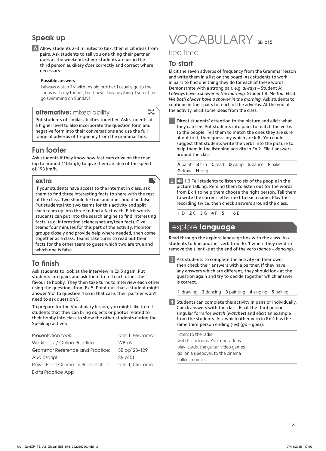# Speak up

6 Allow students 2–3 minutes to talk, then elicit ideas from pairs. Ask students to tell you one thing their partner does at the weekend. Check students are using the third person auxiliary *does* correctly and correct where necessary.

#### **Possible answers**

I always watch TV with my big brother. I usually go to the shops with my friends, but I never buy anything. I sometimes go swimming on Sundays.

### **alternative:** mixed ability

 $\mathcal{L}$ 

Put students of similar abilities together. Ask students at a higher level to also incorporate the question form and negative form into their conversations and use the full range of adverbs of frequency from the grammar box.

## Fun footer

Ask students if they know how fast cars drive on the road (up to around 110km/h) to give them an idea of the speed of 193 km/h.

### **extra**

If your students have access to the internet in class, ask them to find three interesting facts to share with the rest of the class. Two should be true and one should be false. Put students into two teams for this activity and split each team up into three to find a fact each. Elicit words students can put into the search engine to find interesting facts, (e.g. interesting science/nature/teen fact). Give teams four minutes for this part of the activity. Monitor groups closely and provide help where needed, then come together as a class. Teams take turns to read out their facts for the other team to guess which two are true and which one is false.

## To finish

Ask students to look at the interview in Ex 5 again. Put students into pairs and ask them to tell each other their favourite hobby. They then take turns to interview each other using the questions from Ex 5. Point out that a student might answer 'no' to question 4 so in that case, their partner won't need to ask question 5.

To prepare for the Vocabulary lesson, you might like to tell students that they can bring objects or photos related to their hobby into class to show the other students during the Speak up activity.

| Presentation tool:                      | Unit 1, Grammar |
|-----------------------------------------|-----------------|
| Workbook / Online Practice:             | WB p9           |
| Grammar Reference and Practice:         | SB pp128-129    |
| Audioscript:                            | SB p151         |
| <b>PowerPoint Grammar Presentation:</b> | Unit 1, Grammar |
| Extra Practice App                      |                 |

# VOCABULARY SB p15

free time

## To start

Elicit the seven adverbs of frequency from the Grammar lesson and write them in a list on the board. Ask students to work in pairs to find one thing they do for each of these words. Demonstrate with a strong pair, e.g. *always* – Student A: *I always have a shower in the morning.* Student B: *Me too.* Elicit: *We both always have a shower in the morning.* Ask students to continue in their pairs for each of the adverbs. At the end of the activity, elicit some ideas from the class.

**1** Direct students' attention to the picture and elicit what they can see. Put students into pairs to match the verbs to the people. Tell them to match the ones they are sure about first, then guess any which are left. You could suggest that students write the verbs into the picture to help them in the listening activity in Ex 2. Elicit answers around the class.

**A** paint **B** fish **C** read **D** camp **E** dance **F** bake **G** draw **H** sing

 $2$   $\blacktriangleleft$  1.3 Tell students to listen to six of the people in the picture talking. Remind them to listen out for the words from Ex 1 to help them choose the right person. Tell them to write the correct letter next to each name. Play the recording twice, then check answers around the class.

**1** D **2** C **3** G **4** F **5** H **6** B

## explore **language**

Read through the explore language box with the class. Ask students to find another verb from Ex 1 where they need to remove the silent -*e* at the end of the verb (*dance* – *dancing*).

Ask students to complete the activity on their own, then check their answers with a partner. If they have any answers which are different, they should look at the question again and try to decide together which answer is correct.

**1** drawing **2** dancing **3** painting **4** singing **5** baking

4 Students can complete this activity in pairs or individually. Check answers with the class. Elicit the third person singular form for *watch* (*watches*) and elicit an example from the students. Ask which other verb in Ex 4 has the same third person ending (-*es*) (*go – goes*).

listen: to the radio watch: cartoons, YouTube videos play: cards, the guitar, video games go: on a sleepover, to the cinema collect: comics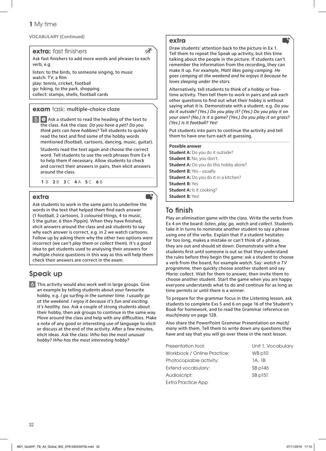#### VOCABULARY (Continued)

**extra:** fast finishers

 $\equiv \chi^2$ 

**ext** 

Ask fast finishers to add more words and phrases to each verb, e.g.

listen: to the birds, to someone singing, to music watch: TV, a film play: tennis, cricket, football go: hiking, to the park, shopping collect: stamps, shells, football cards

### **exam** task: **multiple-choice cloze**

 $\overline{5}$   $\overline{e}$  Ask a student to read the heading of the text to the class. Ask the class: *Do you have a pet? Do you think pets can have hobbies?* Tell students to quickly read the text and find some of the hobby words mentioned (football, cartoons, dancing, music, guitar).

 Students read the text again and choose the correct word. Tell students to use the verb phrases from Ex 4 to help them if necessary. Allow students to check and correct their answers in pairs, then elicit answers around the class.

**1** B **2** B **3** C **4** A **5** C **6** B

### **extra**

Ask students to work in the same pairs to underline the words in the text that helped them find each answer (1 football, 2 cartoons, 3 coloured things, 4 to music, 5 the quitar, 6 then Pippin). When they have finished, elicit answers around the class and ask students to say why each answer is correct, e.g. in 2 we watch cartoons. Follow up by asking them why the other two options were incorrect (we can't *play* them or *collect* them). It's a good idea to get students used to analysing their answers for multiple choice questions in this way as this will help them check their answers are correct in the exam.

# Speak up

6 This activity would also work well in large groups. Give an example by telling students about your favourite hobby, e.g. *I go surfing in the summer time. I usually go at the weekend. I enjoy it because it's fun and exciting. It's healthy, too.* Ask a couple of strong students about their hobby, then ask groups to continue in the same way. Move around the class and help with any difficulties. Make a note of any good or interesting use of language to elicit or discuss at the end of the activity. After a few minutes, elicit ideas. Ask the class: *Who has the most unusual hobby? Who has the most interesting hobby?*

#### **extra**

Draw students' attention back to the picture in Ex 1. Tell them to repeat the Speak up activity, but this time talking about the people in the picture. If students can't remember the information from the recording, they can make it up. For example, *Matt likes going camping. He goes camping at the weekend and he enjoys it because he loves sleeping under the stars.*

Alternatively, tell students to think of a hobby or freetime activity. Then tell them to work in pairs and ask each other questions to find out what their hobby is without saying what it is. Demonstrate with a student, e.g. *Do you do it outside? (Yes.) Do you play it? (Yes.) Do you play it on your own? (No.) Is it a game? (Yes.) Do you play it on grass? (Yes.) Is it football? Yes!*

Put students into pairs to continue the activity and tell them to have one turn each at guessing.

#### **Possible answer**

**Student A:** Do you do it outside? **Student B:** No, you don't. **Student A:** Do you do this hobby alone? **Student B:** Yes – usually. **Student A:** Do you do it in a kitchen? **Student B:** Yes **Student A: Is it cooking? Student B:** Yes!

## To finish

Play an elimination game with the class. Write the verbs from Ex 4 on the board: *listen*, *play*, *go, watch* and *collect*. Students take it in turns to nominate another student to say a phrase using one of the verbs. Explain that if a student hesitates for too long, makes a mistake or can't think of a phrase, they are out and should sit down. Demonstrate with a few students first until someone is out so that they understand the rules before they begin the game: ask a student to choose a verb from the board, for example *watch*. Say: *watch a TV programme,* then quickly choose another student and say *Maria: collect*. Wait for them to answer, then invite them to choose another student. Start the game when you are happy everyone understands what to do and continue for as long as time permits or until there is a winner.

To prepare for the grammar focus in the Listening lesson, ask students to complete Exs 5 and 6 on page 16 of the Student's Book for homework, and to read the Grammar reference on *much*/*many* on page 128.

Also share the PowerPoint Grammar Presentation on *much*/ *many* with them. Tell them to write down any questions they have and say that you will go over these in the next lesson.

| Presentation tool:          | Unit 1, Vocabulary |
|-----------------------------|--------------------|
| Workbook / Online Practice: | WB p10             |
| Photocopiable activity:     | 1A. 1B             |
| Extend vocabulary:          | SB p146            |
| Audioscript:                | $SB$ $p151$        |
| Extra Practice App          |                    |

32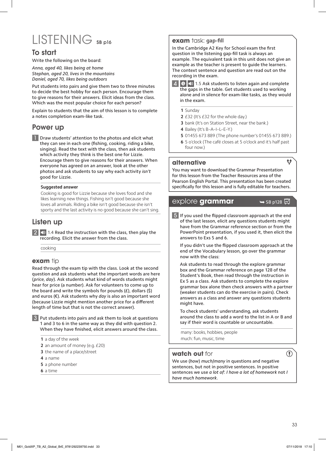# LISTENING SB p16

## To start

Write the following on the board:

*Anna, aged 40, likes being at home Stephan, aged 20, lives in the mountains Daniel, aged 70, likes being outdoors*

Put students into pairs and give them two to three minutes to decide the best hobby for each person. Encourage them to give reasons for their answers. Elicit ideas from the class. Which was the most popular choice for each person?

Explain to students that the aim of this lesson is to complete a notes completion exam-like task.

## Power up

**1** Draw students' attention to the photos and elicit what they can see in each one (fishing, cooking, riding a bike, singing). Read the text with the class, then ask students which activity they think is the best one for Lizzie. Encourage them to give reasons for their answers. When everyone has agreed on an answer, look at the other photos and ask students to say why each activity *isn't* good for Lizzie.

#### **Suggested answer**

Cooking is good for Lizzie because she loves food and she likes learning new things. Fishing isn't good because she loves all animals. Riding a bike isn't good because she isn't sporty and the last activity is no good because she can't sing.

## Listen up

 $2$   $\Box$  1.4 Read the instruction with the class, then play the recording. Elicit the answer from the class.

cooking

## **exam** tip

Read through the exam tip with the class. Look at the second question and ask students what the important words are here (*price*, *day*). Ask students what kind of words students might hear for price (a number). Ask for volunteers to come up to the board and write the symbols for pounds  $(E)$ , dollars  $(\xi)$ and euros (€). Ask students why *day* is also an important word (because Lizzie might mention another price for a different length of time but that is not the correct answer).

Put students into pairs and ask them to look at questions 1 and 3 to 6 in the same way as they did with question 2. When they have finished, elicit answers around the class.

**1** a day of the week

- **2** an amount of money (e.g. £20)
- **3** the name of a place/street
- **4** a name
- **5** a phone number
- **6** a time

#### **exam** task: **gap-fill**

In the Cambridge A2 Key for School exam the first question in the listening gap-fill task is always an example. The equivalent task in this unit does not give an example as the teacher is present to guide the learners. The context sentence and question are read out on the recording in the exam.

4 **e**  $\bullet$  1.5 Ask students to listen again and complete the gaps in the table. Get students used to working alone and in silence for exam-like tasks, as they would in the exam.

**1** Sunday

- **2** £32 (It's £32 for the whole day.)
- **3** bank (It's on Station Street, near the bank.)
- **4** Bailey (It's B–A–I–L–E–Y.)
- **5** 01455 673 889 (The phone number's 01455 673 889.)
- **6** 5 o'clock (The café closes at 5 o'clock and it's half past four now.)

#### **alternative**

You may want to download the Grammar Presentation for this lesson from the Teacher Resources area of the Pearson English Portal. This presentation has been created specifically for this lesson and is fully editable for teachers.

## $\exp$ lore **grammar**  $\rightarrow$  SB p128  $\overline{\varnothing}$

 $f$ 

5 If you used the flipped classroom approach at the end of the last lesson, elicit any questions students might have from the Grammar reference section or from the PowerPoint presentation, if you used it, then elicit the answers to Exs 5 and 6.

If you didn't use the flipped classroom approach at the end of the Vocabulary lesson, go over the grammar now with the class:

Ask students to read through the explore grammar box and the Grammar reference on page 128 of the Student's Book, then read through the instruction in Ex 5 as a class. Ask students to complete the explore grammar box alone then check answers with a partner (weaker students can do the exercise in pairs). Check answers as a class and answer any questions students might have.

To check students' understanding, ask students around the class to add a word to the list in A or B and say if their word is countable or uncountable.

many: books, hobbies, people much: fun, music, time

## **watch out** for

We use (*how*) *much*/*many* in questions and negative sentences, but not in positive sentences. In positive sentences we use *a lot of*: *I have a lot of homework* not *I have much homework*.

 $\mathbf{I}$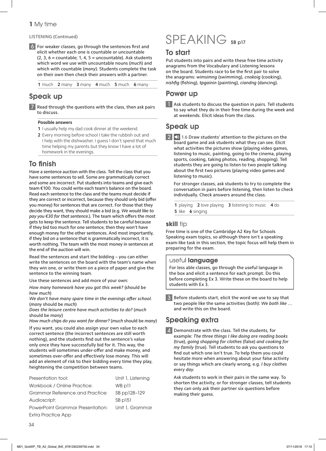#### LISTENING (Continued)

6 For weaker classes, go through the sentences first and elicit whether each one is countable or uncountable  $(2, 3, 6 =$  countable; 1, 4, 5 = uncountable). Ask students which word we use with uncountable nouns (*much*) and which with countable (*many*). Students complete the task on their own then check their answers with a partner.

**1** much **2** many **3** many **4** much **5** much **6** many

## Speak up

7 Read through the questions with the class, then ask pairs to discuss.

#### **Possible answers**

- **1** I usually help my dad cook dinner at the weekend.
- **2** Every morning before school I take the rubbish out and I help with the dishwasher. I guess I don't spend that much time helping my parents but they know I have a lot of homework in the evenings.

## **To finish**

Have a sentence auction with the class. Tell the class that you have some sentences to sell. Some are grammatically correct and some are incorrect. Put students into teams and give each team €100. You could write each team's balance on the board. Read each sentence to the class and the teams must decide if they are correct or incorrect, because they should only bid (offer you money) for sentences that are correct. For those that they decide they want, they should make a bid (e.g. *We would like to pay you €30 for that sentence.*). The team which offers the most gets to keep the sentence. Tell students to be careful because if they bid too much for one sentence, then they won't have enough money for the other sentences. And most importantly, if they bid on a sentence that is grammatically incorrect, it is worth nothing. The team with the most money in sentences at the end of the auction will win.

Read the sentences and start the bidding – you can either write the sentences on the board with the team's name when they win one, or write them on a piece of paper and give the sentence to the winning team.

Use these sentences and add more of your own:

*How many homework have you got this week?* (should be *how much*)

We don't have many spare time in the evenings after school. (*many* should be *much*)

*Does the leisure centre have much activities to do?* (*much*  should be *many*)

*How much chips do you want for dinner?* (*much* should be *many*)

If you want, you could also assign your own value to each correct sentence (the incorrect sentences are still worth nothing), and the students find out the sentence's value only once they have successfully bid for it. This way, the students will sometimes under-offer and make money, and sometimes over-offer and effectively lose money. This will add an element of risk to their bidding every time they play, heightening the competition between teams.

| Presentation tool:               | Unit 1, Listening |
|----------------------------------|-------------------|
| Workbook / Online Practice:      | WB p11            |
| Grammar Reference and Practice:  | SB pp128-129      |
| Audioscript:                     | $SB$ $p151$       |
| PowerPoint Grammar Presentation: | Unit 1, Grammar   |
| Extra Practice App               |                   |

# SPEAKING SB p17

## To start

Put students into pairs and write these free time activity anagrams from the Vocabulary and Listening lessons on the board. Students race to be the first pair to solve the anagrams: *wimsimng* (swimming), *cnokoig* (cooking), *nishfig* (fishing), *tpgainin* (painting), *ciandng* (dancing).

## Power up

**1** Ask students to discuss the question in pairs. Tell students to say what they do in their free time during the week and at weekends. Elicit ideas from the class.

## Speak up

 $2$   $\blacktriangleleft$  1.6 Draw students' attention to the pictures on the board game and ask students what they can see. Elicit what activities the pictures show (playing video games, listening to music, painting, going to the cinema, playing sports, cooking, taking photos, reading, shopping). Tell students they are going to listen to two people talking about the first two pictures (playing video games and listening to music).

 For stronger classes, ask students to try to complete the conversation in pairs before listening, then listen to check individually. Check answers around the class.

**1** playing **2** love playing **3** listening to music **4** do **5** like **6** singing

#### **skill** tip

Free time is one of the Cambridge A2 Key for Schools Speaking exam topics, so although there isn't a speaking exam-like task in this section, the topic focus will help them in preparing for the exam.

#### useful **language**

For less able classes, go through the useful language in the box and elicit a sentence for each prompt. Do this before completing Ex 3. Write these on the board to help students with Ex 3.

**3** Before students start, elicit the word we use to say that two people like the same activities (both): *We both like …* and write this on the board.

## Speaking extra

4 Demonstrate with the class. Tell the students, for example: *The three things I like doing are reading books* (true), *going shopping for clothes* (false) *and cooking for my family* (true). Tell students to ask you questions to find out which one isn't true. To help them you could hesitate more when answering about your false activity or say things which are clearly wrong, e.g. *I buy clothes every day.*

 Ask students to work in their pairs in the same way. To shorten the activity, or for stronger classes, tell students they can only ask their partner six questions before making their guess.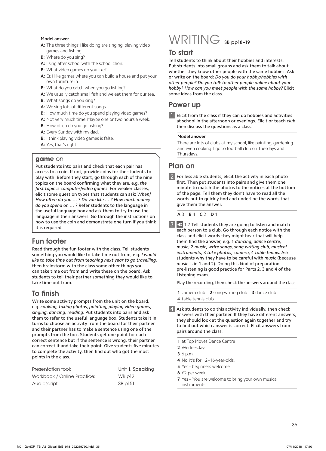#### **Model answer**

- **A:** The three things I like doing are singing, playing video games and fishing.
- **B:** Where do you sing?
- **A:** I sing after school with the school choir.
- **B:** What video games do you like?
- **A:** Er, I like games where you can build a house and put your own furniture in.
- **B:** What do you catch when you go fishing?
- **A:** We usually catch small fish and we eat them for our tea.
- **B:** What songs do you sing?
- **A:** We sing lots of different songs.
- **B:** How much time do you spend playing video games?
- **A:** Not very much time. Maybe one or two hours a week.
- **B:** How often do you go fishing?
- **A:** Every Sunday with my dad.
- **B:** I think playing video games is false.
- **A:** Yes, that's right!

#### **game** on

Put students into pairs and check that each pair has access to a coin. If not, provide coins for the students to play with. Before they start, go through each of the nine topics on the board confirming what they are, e.g. *the first topic is computer*/*video games*. For weaker classes, elicit some question types that students can ask: *When*/ *How often do you … ? Do you like … ? How much money do you spend on … ?* Refer students to the language in the useful language box and ask them to try to use the language in their answers. Go through the instructions on how to use the coin and demonstrate one turn if you think it is required.

## Fun footer

Read through the fun footer with the class. Tell students something you would like to take time out from, e.g. *I would like to take time out from teaching next year to go travelling*, then brainstorm with the class some other things you can take time out from and write these on the board. Ask students to tell their partner something they would like to take time out from.

## To finish

Write some activity prompts from the unit on the board, e.g. *cooking*, *taking photos*, *painting*, *playing video games*, *singing*, *dancing, reading*. Put students into pairs and ask them to refer to the useful language box. Students take it in turns to choose an activity from the board for their partner and their partner has to make a sentence using one of the prompts from the box. Students get one point for each correct sentence but if the sentence is wrong, their partner can correct it and take their point. Give students five minutes to complete the activity, then find out who got the most points in the class.

| Presentation tool:          | Unit 1, Speaking |
|-----------------------------|------------------|
| Workbook / Online Practice: | WB p12           |
| Audioscript:                | SB p151          |

# WRITING SB pp18-19

## To start

Tell students to think about their hobbies and interests. Put students into small groups and ask them to talk about whether they know other people with the same hobbies. Ask or write on the board: *Do you do your hobby/hobbies with other people? Do you talk to other people online about your hobby? How can you meet people with the same hobby?* Elicit some ideas from the class.

## Power up

Elicit from the class if they can do hobbies and activities at school in the afternoon or evenings. Elicit or teach *club* then discuss the questions as a class.

#### **Model answer**

There are lots of clubs at my school, like painting, gardening and even cooking. I go to football club on Tuesdays and Thursdays.

## Plan on

For less able students, elicit the activity in each photo first. Then put students into pairs and give them one minute to match the photos to the notices at the bottom of the page. Tell them they don't have to read all the words but to quickly find and underline the words that give them the answer.

**A** 3 **B** 4 **C** 2 **D** 1

 $3$   $\blacktriangleleft$  1.7 Tell students they are going to listen and match each person to a club. Go through each notice with the class and elicit words they might hear that will help them find the answer, e.g. 1 *dancing*, *dance centre*, *music*; 2 *music*, *write songs*, *song writing club*, *musical instruments*; 3 *take photos*, *camera*; 4 *table tennis*. Ask students why they have to be careful with *music* (because *music* is in 1 and 2). Doing this kind of preparation pre-listening is good practice for Parts 2, 3 and 4 of the Listening exam.

Play the recording, then check the answers around the class.

**1** camera club **2** song-writing club **3** dance club **4** table tennis club

- $\blacktriangleleft$  Ask students to do this activity individually, then check answers with their partner. If they have different answers, they should look at the question again together and try to find out which answer is correct. Elicit answers from pairs around the class.
	- **1** at Top Moves Dance Centre
	- **2** Wednesdays
	- **3** 6 p.m.
	- **4** No, it's for 12–16-year-olds.
	- **5** Yes beginners welcome
	- **6** £2 per week
	- **7** Yes 'You are welcome to bring your own musical instruments!'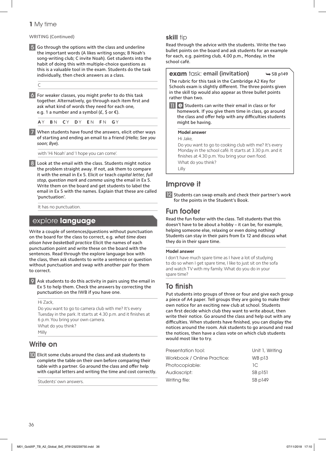#### WRITING (Continued)

5 Go through the options with the class and underline the important words (A likes writing songs; B Noah's song-writing club; C invite Noah). Get students into the habit of doing this with multiple-choice questions as this is a valuable tool in the exam. Students do the task individually, then check answers as a class.

#### C

6 For weaker classes, you might prefer to do this task together. Alternatively, go through each item first and ask what kind of words they need for each one, e.g. 1 a number and a symbol ( $E$ ,  $\zeta$  or  $\varepsilon$ ).

**A** Y **B** N **C** Y **D** Y **E** N **F** N **G** Y

7 When students have found the answers, elicit other ways of starting and ending an email to a friend (*Hello*; *See you soon*; *Bye*).

with 'Hi Noah' and 'I hope you can come'.

8 Look at the email with the class. Students might notice the problem straight away. If not, ask them to compare it with the email in Ex 5. Elicit or teach *capital letter*, *full stop*, *question mark* and *comma* using the email in Ex 5. Write them on the board and get students to label the email in Ex 5 with the names. Explain that these are called 'punctuation'.

It has no punctuation.

## explore **language**

Write a couple of sentences/questions without punctuation on the board for the class to correct, e.g*. what time does alison have basketball practice* Elicit the names of each punctuation point and write these on the board with the sentences. Read through the explore language box with the class, then ask students to write a sentence or question without punctuation and swap with another pair for them to correct.

9 Ask students to do this activity in pairs using the email in Ex 5 to help them. Check the answers by correcting the punctuation on the IWB if you have one.

Hi Zack,

Do you want to go to camera club with me? It's every Tuesday in the park. It starts at 4.30 p.m. and it finishes at 6 p.m. You bring your own camera. What do you think? Milly

## Write on

10 Elicit some clubs around the class and ask students to complete the table on their own before comparing their table with a partner. Go around the class and offer help with capital letters and writing the time and cost correctly.

Students' own answers.

### **skill** tip

Read through the advice with the students. Write the two bullet points on the board and ask students for an example for each, e.g. painting club, 4.00 p.m., Monday, in the school café.

#### **exam** task: **email (invitation)**  $\rightarrow$  SB p149

The rubric for this task in the Cambridge A2 Key for Schools exam is slightly different. The three points given in the skill tip would also appear as three bullet points rather than two.

11 **e** Students can write their email in class or for homework. If you give them time in class, go around the class and offer help with any difficulties students might be having.

#### **Model answer**

Hi Jake,

Do you want to go to cooking club with me? It's every Monday in the school café. It starts at 3.30 p.m. and it finishes at 4.30 p.m. You bring your own food. What do you think?

Lilly

# Improve it

12 Students can swap emails and check their partner's work for the points in the Student's Book.

## Fun footer

Read the fun footer with the class. Tell students that this doesn't have to be about a hobby – it can be, for example, helping someone else, relaxing or even doing nothing! Students can stay in their pairs from Ex 12 and discuss what they do in their spare time.

#### **Model answer**

I don't have much spare time as I have a lot of studying to do so when I get spare time, I like to just sit on the sofa and watch TV with my family. What do you do in your spare time?

## To finish

Put students into groups of three or four and give each group a piece of A4 paper. Tell groups they are going to make their own notice for an exciting new club at school. Students can first decide which club they want to write about, then write their notice. Go around the class and help out with any difficulties. When students have finished, you can display the notices around the room. Ask students to go around and read the notices, then have a class vote on which club students would most like to try.

| Presentation tool:          | Unit 1, Writing |
|-----------------------------|-----------------|
| Workbook / Online Practice: | WB p13          |
| Photocopiable:<br>1C.       |                 |
| Audioscript:                | $SB$ $p151$     |
| Writing file:               | SB p149         |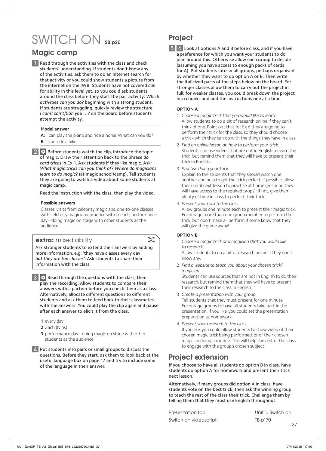# SWITCH ON SB p20

# Magic camp

**1** Read through the activities with the class and check students' understanding. If students don't know any of the activities, ask them to do an internet search for that activity or you could show students a picture from the internet on the IWB. Students have not covered *can* for ability in this level yet, so you could ask students around the class before they start the pair activity: *Which activities can you do?* beginning with a strong student. If students are struggling, quickly review the structure *I can*/*I can't*/*Can you …?* on the board before students attempt the activity.

#### **Model answer**

**A:** I can play the piano and ride a horse. What can you do? **B:** I can ride a bike.

 $2$   $\bullet$  Before students watch the clip, introduce the topic of magic. Draw their attention back to the phrase *do card tricks* in Ex 1. Ask students if they like magic. Ask: *What magic tricks can you think of? Where do magicians learn to do magic?* (at magic school/camp). Tell students they are going to watch a video about some students at magic camp.

Read the instruction with the class, then play the video.

#### **Possible answers**

Classes, visits from celebrity magicians, one-to-one classes with celebrity magicians, practice with friends, performance day – doing magic on stage with other students as the audience.

## **extra:** mixed ability

 $\mathcal{L}$ 

Ask stronger students to extend their answers by adding more information, e.g. 'they have classes every day *but they are fun classes'*. Ask students to share their information with the class.

**3 O** Read through the questions with the class, then play the recording. Allow students to compare their answers with a partner before you check them as a class. Alternatively, allocate different questions to different students and ask them to feed back to their classmates with the answers. You could play the clip again and pause after each answer to elicit it from the class.

**1** every day

- **2** Zach (Ivins)
- **3** performance day doing magic on stage with other students as the audience
- 4 Put students into pairs or small groups to discuss the questions. Before they start, ask them to look back at the useful language box on page 17 and try to include some of the language in their answer.

# **Project**

5 6 Look at options A and B before class, and if you have a preference for which you want your students to do, plan around this. Otherwise allow each group to decide (assuming you have access to enough packs of cards for A). Put students into small groups, perhaps organised by whether they want to do option A or B. Then write the italicized parts of the steps below on the board. For stronger classes allow them to carry out the project in full; for weaker classes, you could break down the project into chunks and add the instructions one at a time.

#### **OPTION A**

- 1 *Choose a magic trick that you would like to learn.*  Allow students to do a bit of research online if they can't think of one. Point out that for Ex 6 they are going to perform their trick for the class, so they should choose a trick which they can do with the things they have in class.
- 2 *Find an online lesson on how to perform your trick.* Students can use videos that are not in English to learn the trick, but remind them that they will have to present their trick in English.
- 3 *Practise doing your trick.*

Explain to the students that they should watch one another and help to get the trick perfect. If possible, allow them until next lesson to practise at home (ensuring they will have access to the required props); if not, give them plenty of time in class to perfect their trick.

4 *Present your trick to the class.*  Allow groups one minute each to present their magic trick. Encourage more than one group member to perform the trick, but don't make all perform if some know that they will give the game away!

#### **OPTION B**

1 *Choose a magic trick or a magician that you would like to research.* Allow students to do a bit of research online if they don't

know any.

2 *Find a website to teach you about your chosen trick/ magician.*

Students can use sources that are not in English to do their research, but remind them that they will have to present their research to the class in English.

- 3 *Create a presentation with your group.* Tell students that they must present for one minute. Encourage groups to have all students take part in the presentation. If you like, you could set the presentation preparation as homework.
- 4 *Present your research to the class.*  If you like, you could allow students to show video of their chosen magic trick being performed, or of their chosen magician doing a routine. This will help the rest of the class to engage with the group's chosen subject.

## Project extension

If you choose to have all students do option B in class, have students do option A for homework and present their trick next lesson.

Alternatively, if many groups did option A in class, have students vote on the best trick, then ask the winning group to teach the rest of the class their trick. Challenge them by telling them that they must use English throughout.

| Presentation tool:     | Unit 1, Switch on |
|------------------------|-------------------|
| Switch on videoscript: | TB p170           |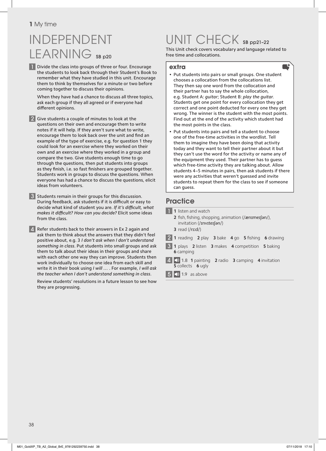# INDEPENDENT LEARNING SB p20

**1** Divide the class into groups of three or four. Encourage the students to look back through their Student's Book to remember what they have studied in this unit. Encourage them to think by themselves for a minute or two before coming together to discuss their opinions.

 When they have had a chance to discuss all three topics, ask each group if they all agreed or if everyone had different opinions.

2 Give students a couple of minutes to look at the questions on their own and encourage them to write notes if it will help. If they aren't sure what to write, encourage them to look back over the unit and find an example of the type of exercise, e.g. for question 1 they could look for an exercise where they worked on their own and an exercise where they worked in a group and compare the two. Give students enough time to go through the questions, then put students into groups as they finish, i.e. so fast finishers are grouped together. Students work in groups to discuss the questions. When everyone has had a chance to discuss the questions, elicit ideas from volunteers.

3 Students remain in their groups for this discussion. During feedback, ask students if it is difficult or easy to decide what kind of student you are. If it's difficult, what *makes it difficult? How can you decide?* Elicit some ideas from the class.

4 Refer students back to their answers in Ex 2 again and ask them to think about the answers that they didn't feel positive about, e.g. 3 *I don't ask when I don't understand something in class*. Put students into small groups and ask them to talk about their ideas in their groups and share with each other one way they can improve. Students then work individually to choose one idea from each skill and write it in their book using *I will …* . For example, *I will ask the teacher when I don't understand something in class*.

 Review students' resolutions in a future lesson to see how they are progressing.

# UNIT CHECK SB pp21–22

This Unit check covers vocabulary and language related to free time and collocations.

#### **extra**

- Put students into pairs or small groups. One student chooses a collocation from the collocations list. They then say one word from the collocation and their partner has to say the whole collocation, e.g. Student A: *guitar*; Student B: *play the guitar*. Students get one point for every collocation they get correct and one point deducted for every one they get wrong. The winner is the student with the most points. Find out at the end of the activity which student had the most points in the class.
- Put students into pairs and tell a student to choose one of the free-time activities in the wordlist. Tell them to imagine they have been doing that activity today and they want to tell their partner about it but they can't use the word for the activity or name any of the equipment they used. Their partner has to guess which free-time activity they are talking about. Allow students 4–5 minutes in pairs, then ask students if there were any activities that weren't guessed and invite students to repeat them for the class to see if someone can guess.

## **Practice**

- **1** 1 listen and watch 2 fish, fishing, shopping, animation (/ænImeIfan/), invitation (/ɪnvɪteɪʃən/) **3** read (/rɪːd/) **2** 1 reading 2 play 3 bake 4 go 5 fishing 6 drawing 3 **1** plays **2** listen **3** makes **4** competition **5** baking **6** camping
	- 4 1.8 **1** painting **2** radio **3** camping **4** invitation **5** collects **6** ugly
	- $\boxed{5}$   $\boxed{9}$  1.9 as above